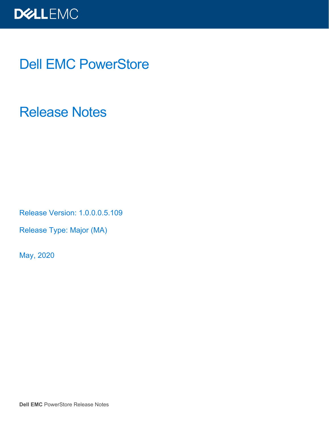

### Dell EMC PowerStore

Release Notes

Release Version: 1.0.0.0.5.109

Release Type: Major (MA)

May, 2020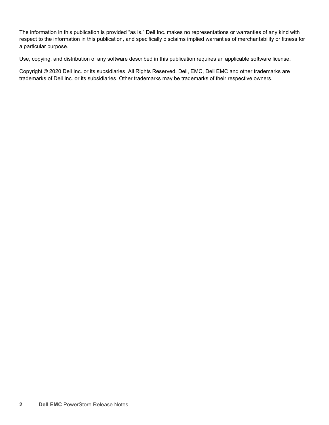The information in this publication is provided "as is." Dell Inc. makes no representations or warranties of any kind with respect to the information in this publication, and specifically disclaims implied warranties of merchantability or fitness for a particular purpose.

Use, copying, and distribution of any software described in this publication requires an applicable software license.

Copyright © 2020 Dell Inc. or its subsidiaries. All Rights Reserved. Dell, EMC, Dell EMC and other trademarks are trademarks of Dell Inc. or its subsidiaries. Other trademarks may be trademarks of their respective owners.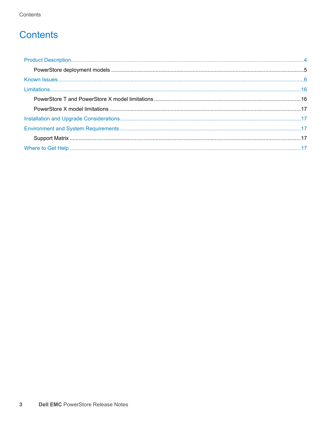### **Contents**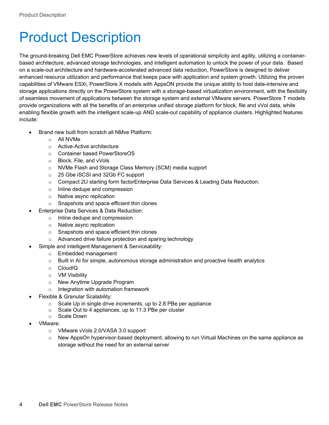### <span id="page-3-0"></span>Product Description

The ground-breaking Dell EMC PowerStore achieves new levels of operational simplicity and agility, utilizing a containerbased architecture, advanced storage technologies, and intelligent automation to unlock the power of your data. Based on a scale-out architecture and hardware-accelerated advanced data reduction, PowerStore is designed to deliver enhanced resource utilization and performance that keeps pace with application and system growth. Utilizing the proven capabilities of VMware ESXi, PowerStore X models with AppsON provide the unique ability to host data-intensive and storage applications directly on the PowerStore system with a storage-based virtualization environment, with the flexibility of seamless movement of applications between the storage system and external VMware servers. PowerStore T models provide organizations with all the benefits of an enterprise unified storage platform for block, file and vVol data, while enabling flexible growth with the intelligent scale-up AND scale-out capability of appliance clusters. Highlighted features include:

- Brand new built from scratch all NMve Platform:
	- o All NVMe
		- o Active-Active architecture
		- o Container based PowerStoreOS
		- o Block, File, and vVols
		- o NVMe Flash and Storage Class Memory (SCM) media support
		- o 25 Gbe iSCSI and 32Gb FC support
		- o Compact 2U starting form factorEnterprise Data Services & Leading Data Reduction:
		- o Inline dedupe and compression
		- o Native async replication
	- o Snapshots and space efficient thin clones
	- Enterprise Data Services & Data Reduction:
		- o Inline dedupe and compression
		- o Native async replication
		- o Snapshots and space efficient thin clones
		- o Advanced drive failure protection and sparing technology
	- Simple and intelligent Management & Serviceability:
		- o Embedded management
		- $\circ$  Built in AI for simple, autonomous storage administration and proactive health analytics
		- o CloudIQ
		- o VM Visibility
		- o New Anytime Upgrade Program
		- o Integration with automation framework
- Flexible & Granular Scalability:
	- $\circ$  Scale Up in single drive increments, up to 2.8 PBe per appliance
	- o Scale Out to 4 appliances, up to 11.3 PBe per cluster
	- o Scale Down
- VMware:
	- o VMware vVols 2.0/VASA 3.0 support
	- o New AppsOn hypervisor-based deployment, allowing to run Virtual Machines on the same appliance as storage without the need for an external server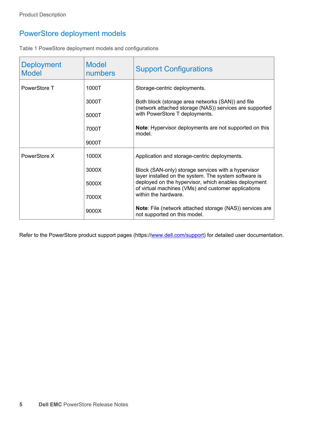### <span id="page-4-0"></span>PowerStore deployment models

Table 1 PoweStore deployment models and configurations

| <b>Deployment</b><br><b>Model</b> | <b>Model</b><br>numbers | <b>Support Configurations</b>                                                                                |
|-----------------------------------|-------------------------|--------------------------------------------------------------------------------------------------------------|
| PowerStore T                      | 1000T                   | Storage-centric deployments.                                                                                 |
|                                   | 3000T                   | Both block (storage area networks (SAN)) and file<br>(network attached storage (NAS)) services are supported |
|                                   | 5000T                   | with PowerStore T deployments.                                                                               |
|                                   | 7000T                   | Note: Hypervisor deployments are not supported on this<br>model.                                             |
|                                   | 9000T                   |                                                                                                              |
| PowerStore X                      | 1000X                   | Application and storage-centric deployments.                                                                 |
|                                   | 3000X                   | Block (SAN-only) storage services with a hypervisor<br>layer installed on the system. The system software is |
|                                   | 5000X                   | deployed on the hypervisor, which enables deployment<br>of virtual machines (VMs) and customer applications  |
|                                   | 7000X                   | within the hardware.                                                                                         |
|                                   | 9000X                   | <b>Note:</b> File (network attached storage (NAS)) services are<br>not supported on this model.              |

Refer to the PowerStore product support pages (https:/[/www.dell.com/support\)](http://www.dell.com/support) for detailed user documentation.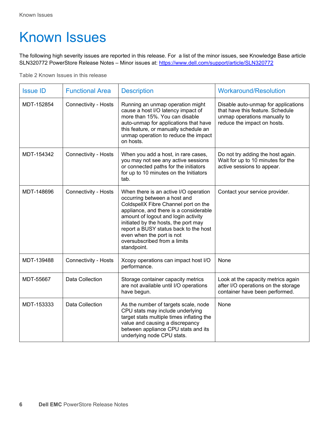# <span id="page-5-0"></span>Known Issues

The following high severity issues are reported in this release. For a list of the minor issues, see Knowledge Base article SLN320772 PowerStore Release Notes – Minor issues at:<https://www.dell.com/support/article/SLN320772>

Table 2 Known Issues in this release

| <b>Issue ID</b> | <b>Functional Area</b>      | <b>Description</b>                                                                                                                                                                                                                                                                                                                                          | <b>Workaround/Resolution</b>                                                                                                           |
|-----------------|-----------------------------|-------------------------------------------------------------------------------------------------------------------------------------------------------------------------------------------------------------------------------------------------------------------------------------------------------------------------------------------------------------|----------------------------------------------------------------------------------------------------------------------------------------|
| MDT-152854      | <b>Connectivity - Hosts</b> | Running an unmap operation might<br>cause a host I/O latency impact of<br>more than 15%. You can disable<br>auto-unmap for applications that have<br>this feature, or manually schedule an<br>unmap operation to reduce the impact<br>on hosts.                                                                                                             | Disable auto-unmap for applications<br>that have this feature. Schedule<br>unmap operations manually to<br>reduce the impact on hosts. |
| MDT-154342      | <b>Connectivity - Hosts</b> | When you add a host, in rare cases,<br>you may not see any active sessions<br>or connected paths for the initiators<br>for up to 10 minutes on the Initiators<br>tab.                                                                                                                                                                                       | Do not try adding the host again.<br>Wait for up to 10 minutes for the<br>active sessions to appear.                                   |
| MDT-148696      | <b>Connectivity - Hosts</b> | When there is an active I/O operation<br>occurring between a host and<br>ColdspellX Fibre Channel port on the<br>appliance, and there is a considerable<br>amount of logout and login activity<br>initiated by the hosts, the port may<br>report a BUSY status back to the host<br>even when the port is not<br>oversubscribed from a limits<br>standpoint. | Contact your service provider.                                                                                                         |
| MDT-139488      | <b>Connectivity - Hosts</b> | Xcopy operations can impact host I/O<br>performance.                                                                                                                                                                                                                                                                                                        | None                                                                                                                                   |
| MDT-55667       | Data Collection             | Storage container capacity metrics<br>are not available until I/O operations<br>have begun.                                                                                                                                                                                                                                                                 | Look at the capacity metrics again<br>after I/O operations on the storage<br>container have been performed.                            |
| MDT-153333      | Data Collection             | As the number of targets scale, node<br>CPU stats may include underlying<br>target stats multiple times inflating the<br>value and causing a discrepancy<br>between appliance CPU stats and its<br>underlying node CPU stats.                                                                                                                               | None                                                                                                                                   |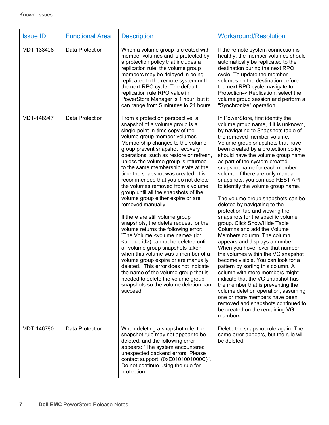| <b>Issue ID</b> | <b>Functional Area</b> | <b>Description</b>                                                                                                                                                                                                                                                                                                                                                                                                                                                                                                                                                                                                                                                                                                                                                                                                                                                                                                                                                                                                                                                                     | <b>Workaround/Resolution</b>                                                                                                                                                                                                                                                                                                                                                                                                                                                                                                                                                                                                                                                                                                                                                                                                                                                                                                                                                                                                                                                                                                                         |
|-----------------|------------------------|----------------------------------------------------------------------------------------------------------------------------------------------------------------------------------------------------------------------------------------------------------------------------------------------------------------------------------------------------------------------------------------------------------------------------------------------------------------------------------------------------------------------------------------------------------------------------------------------------------------------------------------------------------------------------------------------------------------------------------------------------------------------------------------------------------------------------------------------------------------------------------------------------------------------------------------------------------------------------------------------------------------------------------------------------------------------------------------|------------------------------------------------------------------------------------------------------------------------------------------------------------------------------------------------------------------------------------------------------------------------------------------------------------------------------------------------------------------------------------------------------------------------------------------------------------------------------------------------------------------------------------------------------------------------------------------------------------------------------------------------------------------------------------------------------------------------------------------------------------------------------------------------------------------------------------------------------------------------------------------------------------------------------------------------------------------------------------------------------------------------------------------------------------------------------------------------------------------------------------------------------|
| MDT-133408      | Data Protection        | When a volume group is created with<br>member volumes and is protected by<br>a protection policy that includes a<br>replication rule, the volume group<br>members may be delayed in being<br>replicated to the remote system until<br>the next RPO cycle. The default<br>replication rule RPO value in<br>PowerStore Manager is 1 hour, but it<br>can range from 5 minutes to 24 hours.                                                                                                                                                                                                                                                                                                                                                                                                                                                                                                                                                                                                                                                                                                | If the remote system connection is<br>healthy, the member volumes should<br>automatically be replicated to the<br>destination during the next RPO<br>cycle. To update the member<br>volumes on the destination before<br>the next RPO cycle, navigate to<br>Protection-> Replication, select the<br>volume group session and perform a<br>"Synchronize" operation.                                                                                                                                                                                                                                                                                                                                                                                                                                                                                                                                                                                                                                                                                                                                                                                   |
| MDT-148947      | Data Protection        | From a protection perspective, a<br>snapshot of a volume group is a<br>single-point-in-time copy of the<br>volume group member volumes.<br>Membership changes to the volume<br>group prevent snapshot recovery<br>operations, such as restore or refresh,<br>unless the volume group is returned<br>to the same membership state at the<br>time the snapshot was created. It is<br>recommended that you do not delete<br>the volumes removed from a volume<br>group until all the snapshots of the<br>volume group either expire or are<br>removed manually.<br>If there are still volume group<br>snapshots, the delete request for the<br>volume returns the following error:<br>"The Volume <volume name=""> (id:<br/><unique id="">) cannot be deleted until<br/>all volume group snapshots taken<br/>when this volume was a member of a<br/>volume group expire or are manually<br/>deleted." This error does not indicate<br/>the name of the volume group that is<br/>needed to delete the volume group<br/>snapshots so the volume deletion can<br/>succeed.</unique></volume> | In PowerStore, first identify the<br>volume group name, if it is unknown,<br>by navigating to Snapshots table of<br>the removed member volume.<br>Volume group snapshots that have<br>been created by a protection policy<br>should have the volume group name<br>as part of the system-created<br>snapshot name for each member<br>volume. If there are only manual<br>snapshots, you can use REST API<br>to identify the volume group name.<br>The volume group snapshots can be<br>deleted by navigating to the<br>protection tab and viewing the<br>snapshots for the specific volume<br>group. Click Show/Hide Table<br>Columns and add the Volume<br>Members column. The column<br>appears and displays a number.<br>When you hover over that number,<br>the volumes within the VG snapshot<br>become visible. You can look for a<br>pattern by sorting this column. A<br>column with more members might<br>indicate that the VG snapshot has<br>the member that is preventing the<br>volume deletion operation, assuming<br>one or more members have been<br>removed and snapshots continued to<br>be created on the remaining VG<br>members. |
| MDT-146780      | Data Protection        | When deleting a snapshot rule, the<br>snapshot rule may not appear to be<br>deleted, and the following error<br>appears: "The system encountered<br>unexpected backend errors. Please<br>contact support. (0xE0101001000C)".<br>Do not continue using the rule for<br>protection.                                                                                                                                                                                                                                                                                                                                                                                                                                                                                                                                                                                                                                                                                                                                                                                                      | Delete the snapshot rule again. The<br>same error appears, but the rule will<br>be deleted.                                                                                                                                                                                                                                                                                                                                                                                                                                                                                                                                                                                                                                                                                                                                                                                                                                                                                                                                                                                                                                                          |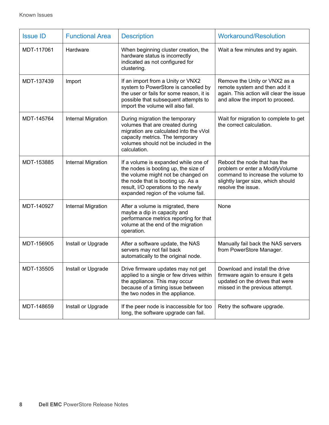| <b>Issue ID</b> | <b>Functional Area</b>    | <b>Description</b>                                                                                                                                                                                                                    | <b>Workaround/Resolution</b>                                                                                                                                     |
|-----------------|---------------------------|---------------------------------------------------------------------------------------------------------------------------------------------------------------------------------------------------------------------------------------|------------------------------------------------------------------------------------------------------------------------------------------------------------------|
| MDT-117061      | Hardware                  | When beginning cluster creation, the<br>hardware status is incorrectly<br>indicated as not configured for<br>clustering.                                                                                                              | Wait a few minutes and try again.                                                                                                                                |
| MDT-137439      | Import                    | If an import from a Unity or VNX2<br>system to PowerStore is cancelled by<br>the user or fails for some reason, it is<br>possible that subsequent attempts to<br>import the volume will also fail.                                    | Remove the Unity or VNX2 as a<br>remote system and then add it<br>again. This action will clear the issue<br>and allow the import to proceed.                    |
| MDT-145764      | <b>Internal Migration</b> | During migration the temporary<br>volumes that are created during<br>migration are calculated into the vVol<br>capacity metrics. The temporary<br>volumes should not be included in the<br>calculation.                               | Wait for migration to complete to get<br>the correct calculation.                                                                                                |
| MDT-153885      | <b>Internal Migration</b> | If a volume is expanded while one of<br>the nodes is booting up, the size of<br>the volume might not be changed on<br>the node that is booting up. As a<br>result, I/O operations to the newly<br>expanded region of the volume fail. | Reboot the node that has the<br>problem or enter a ModifyVolume<br>command to increase the volume to<br>slightly larger size, which should<br>resolve the issue. |
| MDT-140927      | <b>Internal Migration</b> | After a volume is migrated, there<br>maybe a dip in capacity and<br>performance metrics reporting for that<br>volume at the end of the migration<br>operation.                                                                        | None                                                                                                                                                             |
| MDT-156905      | Install or Upgrade        | After a software update, the NAS<br>servers may not fail back<br>automatically to the original node.                                                                                                                                  | Manually fail back the NAS servers<br>from PowerStore Manager.                                                                                                   |
| MDT-135505      | Install or Upgrade        | Drive firmware updates may not get<br>applied to a single or few drives within<br>the appliance. This may occur<br>because of a timing issue between<br>the two nodes in the appliance.                                               | Download and install the drive<br>firmware again to ensure it gets<br>updated on the drives that were<br>missed in the previous attempt.                         |
| MDT-148659      | Install or Upgrade        | If the peer node is inaccessible for too<br>long, the software upgrade can fail.                                                                                                                                                      | Retry the software upgrade.                                                                                                                                      |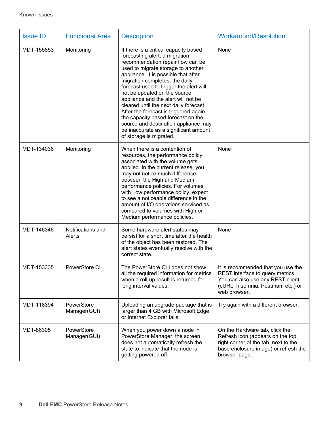| <b>Issue ID</b> | <b>Functional Area</b>      | <b>Description</b>                                                                                                                                                                                                                                                                                                                                                                                                                                                                                                                                                                   | <b>Workaround/Resolution</b>                                                                                                                                        |
|-----------------|-----------------------------|--------------------------------------------------------------------------------------------------------------------------------------------------------------------------------------------------------------------------------------------------------------------------------------------------------------------------------------------------------------------------------------------------------------------------------------------------------------------------------------------------------------------------------------------------------------------------------------|---------------------------------------------------------------------------------------------------------------------------------------------------------------------|
| MDT-155853      | Monitoring                  | If there is a critical capacity based<br>forecasting alert, a migration<br>recommendation repair flow can be<br>used to migrate storage to another<br>appliance. It is possible that after<br>migration completes, the daily<br>forecast used to trigger the alert will<br>not be updated on the source<br>appliance and the alert will not be<br>cleared until the next daily forecast.<br>After the forecast is triggered again,<br>the capacity based forecast on the<br>source and destination appliance may<br>be inaccurate as a significant amount<br>of storage is migrated. | None                                                                                                                                                                |
| MDT-134036      | Monitoring                  | When there is a contention of<br>resources, the performance policy<br>associated with the volume gets<br>applied. In the current release, you<br>may not notice much difference<br>between the High and Medium<br>performance policies. For volumes<br>with Low performance policy, expect<br>to see a noticeable difference in the<br>amount of I/O operations serviced as<br>compared to volumes with High or<br>Medium performance policies.                                                                                                                                      | None                                                                                                                                                                |
| MDT-146346      | Notifications and<br>Alerts | Some hardware alert states may<br>persist for a short time after the health<br>of the object has been restored. The<br>alert states eventually resolve with the<br>correct state.                                                                                                                                                                                                                                                                                                                                                                                                    | None                                                                                                                                                                |
| MDT-153335      | PowerStore CLI              | The PowerStore CLI does not show<br>all the required information for metrics<br>when a roll-up result is returned for<br>long interval values.                                                                                                                                                                                                                                                                                                                                                                                                                                       | It is recommended that you use the<br>REST interface to query metrics.<br>You can also use any REST client<br>(cURL, Insomnia, Postman, etc.) or<br>web browser.    |
| MDT-118394      | PowerStore<br>Manager(GUI)  | Uploading an upgrade package that is<br>larger than 4 GB with Microsoft Edge<br>or Internet Explorer fails.                                                                                                                                                                                                                                                                                                                                                                                                                                                                          | Try again with a different browser.                                                                                                                                 |
| MDT-86305       | PowerStore<br>Manager(GUI)  | When you power down a node in<br>PowerStore Manager, the screen<br>does not automatically refresh the<br>state to indicate that the node is<br>getting powered off.                                                                                                                                                                                                                                                                                                                                                                                                                  | On the Hardware tab, click the<br>Refresh icon (appears on the top<br>right corner of the tab, next to the<br>base enclosure image) or refresh the<br>browser page. |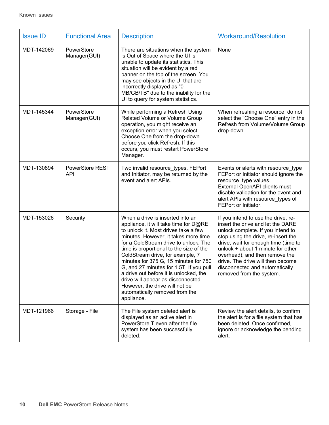| <b>Issue ID</b> | <b>Functional Area</b>               | <b>Description</b>                                                                                                                                                                                                                                                                                                                                                                                                                                                                                                                      | <b>Workaround/Resolution</b>                                                                                                                                                                                                                                                                                                                                           |
|-----------------|--------------------------------------|-----------------------------------------------------------------------------------------------------------------------------------------------------------------------------------------------------------------------------------------------------------------------------------------------------------------------------------------------------------------------------------------------------------------------------------------------------------------------------------------------------------------------------------------|------------------------------------------------------------------------------------------------------------------------------------------------------------------------------------------------------------------------------------------------------------------------------------------------------------------------------------------------------------------------|
| MDT-142069      | PowerStore<br>Manager(GUI)           | There are situations when the system<br>is Out of Space where the UI is<br>unable to update its statistics. This<br>situation will be evident by a red<br>banner on the top of the screen. You<br>may see objects in the UI that are<br>incorrectly displayed as "0<br>MB/GB/TB" due to the inability for the<br>UI to query for system statistics.                                                                                                                                                                                     | None                                                                                                                                                                                                                                                                                                                                                                   |
| MDT-145344      | PowerStore<br>Manager(GUI)           | While performing a Refresh Using<br>Related Volume or Volume Group<br>operation, you might receive an<br>exception error when you select<br>Choose One from the drop-down<br>before you click Refresh. If this<br>occurs, you must restart PowerStore<br>Manager.                                                                                                                                                                                                                                                                       | When refreshing a resource, do not<br>select the "Choose One" entry in the<br>Refresh from Volume/Volume Group<br>drop-down.                                                                                                                                                                                                                                           |
| MDT-130894      | <b>PowerStore REST</b><br><b>API</b> | Two invalid resource_types, FEPort<br>and Initiator, may be returned by the<br>event and alert APIs.                                                                                                                                                                                                                                                                                                                                                                                                                                    | Events or alerts with resource type<br>FEPort or Initiator should ignore the<br>resource_type values.<br>External OpenAPI clients must<br>disable validation for the event and<br>alert APIs with resource_types of<br>FEPort or Initiator.                                                                                                                            |
| MDT-153026      | Security                             | When a drive is inserted into an<br>appliance, it will take time for D@RE<br>to unlock it. Most drives take a few<br>minutes. However, it takes more time<br>for a ColdStream drive to unlock. The<br>time is proportional to the size of the<br>ColdStream drive, for example, 7<br>minutes for 375 G, 15 minutes for 750<br>G, and 27 minutes for 1.5T. If you pull<br>a drive out before it is unlocked, the<br>drive will appear as disconnected.<br>However, the drive will not be<br>automatically removed from the<br>appliance. | If you intend to use the drive, re-<br>insert the drive and let the DARE<br>unlock complete. If you intend to<br>stop using the drive, re-insert the<br>drive, wait for enough time (time to<br>unlock + about 1 minute for other<br>overhead), and then remove the<br>drive. The drive will then become<br>disconnected and automatically<br>removed from the system. |
| MDT-121966      | Storage - File                       | The File system deleted alert is<br>displayed as an active alert in<br>PowerStore T even after the file<br>system has been successfully<br>deleted.                                                                                                                                                                                                                                                                                                                                                                                     | Review the alert details, to confirm<br>the alert is for a file system that has<br>been deleted. Once confirmed,<br>ignore or acknowledge the pending<br>alert.                                                                                                                                                                                                        |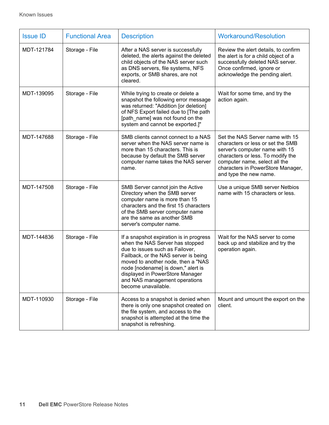| <b>Issue ID</b> | <b>Functional Area</b> | <b>Description</b>                                                                                                                                                                                                                                                                                                           | <b>Workaround/Resolution</b>                                                                                                                                                                                                                |
|-----------------|------------------------|------------------------------------------------------------------------------------------------------------------------------------------------------------------------------------------------------------------------------------------------------------------------------------------------------------------------------|---------------------------------------------------------------------------------------------------------------------------------------------------------------------------------------------------------------------------------------------|
| MDT-121784      | Storage - File         | After a NAS server is successfully<br>deleted, the alerts against the deleted<br>child objects of the NAS server such<br>as DNS servers, file systems, NFS<br>exports, or SMB shares, are not<br>cleared.                                                                                                                    | Review the alert details, to confirm<br>the alert is for a child object of a<br>successfully deleted NAS server.<br>Once confirmed, ignore or<br>acknowledge the pending alert.                                                             |
| MDT-139095      | Storage - File         | While trying to create or delete a<br>snapshot the following error message<br>was returned: "Addition [or deletion]<br>of NFS Export failed due to [The path<br>[path_name] was not found on the<br>system and cannot be exported.]"                                                                                         | Wait for some time, and try the<br>action again.                                                                                                                                                                                            |
| MDT-147688      | Storage - File         | SMB clients cannot connect to a NAS<br>server when the NAS server name is<br>more than 15 characters. This is<br>because by default the SMB server<br>computer name takes the NAS server<br>name.                                                                                                                            | Set the NAS Server name with 15<br>characters or less or set the SMB<br>server's computer name with 15<br>characters or less. To modify the<br>computer name, select all the<br>characters in PowerStore Manager,<br>and type the new name. |
| MDT-147508      | Storage - File         | SMB Server cannot join the Active<br>Directory when the SMB server<br>computer name is more than 15<br>characters and the first 15 characters<br>of the SMB server computer name<br>are the same as another SMB<br>server's computer name.                                                                                   | Use a unique SMB server Netbios<br>name with 15 characters or less.                                                                                                                                                                         |
| MDT-144836      | Storage - File         | If a snapshot expiration is in progress<br>when the NAS Server has stopped<br>due to issues such as Failover,<br>Failback, or the NAS server is being<br>moved to another node, then a "NAS<br>node [nodename] is down," alert is<br>displayed in PowerStore Manager<br>and NAS management operations<br>become unavailable. | Wait for the NAS server to come<br>back up and stabilize and try the<br>operation again.                                                                                                                                                    |
| MDT-110930      | Storage - File         | Access to a snapshot is denied when<br>there is only one snapshot created on<br>the file system, and access to the<br>snapshot is attempted at the time the<br>snapshot is refreshing.                                                                                                                                       | Mount and umount the export on the<br>client.                                                                                                                                                                                               |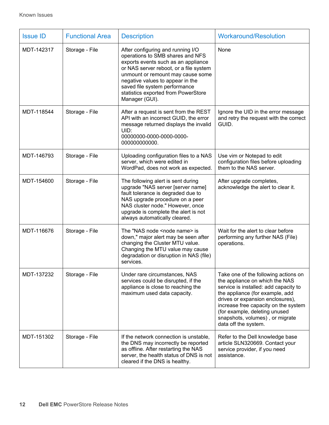| <b>Issue ID</b> | <b>Functional Area</b> | <b>Description</b>                                                                                                                                                                                                                                                                                                        | <b>Workaround/Resolution</b>                                                                                                                                                                                                                                                                                               |
|-----------------|------------------------|---------------------------------------------------------------------------------------------------------------------------------------------------------------------------------------------------------------------------------------------------------------------------------------------------------------------------|----------------------------------------------------------------------------------------------------------------------------------------------------------------------------------------------------------------------------------------------------------------------------------------------------------------------------|
| MDT-142317      | Storage - File         | After configuring and running I/O<br>operations to SMB shares and NFS<br>exports events such as an appliance<br>or NAS server reboot, or a file system<br>unmount or remount may cause some<br>negative values to appear in the<br>saved file system performance<br>statistics exported from PowerStore<br>Manager (GUI). | None                                                                                                                                                                                                                                                                                                                       |
| MDT-118544      | Storage - File         | After a request is sent from the REST<br>API with an incorrect GUID, the error<br>message returned displays the invalid<br>UID:<br>00000000-0000-0000-0000-<br>000000000000.                                                                                                                                              | Ignore the UID in the error message<br>and retry the request with the correct<br>GUID.                                                                                                                                                                                                                                     |
| MDT-146793      | Storage - File         | Uploading configuration files to a NAS<br>server, which were edited in<br>WordPad, does not work as expected.                                                                                                                                                                                                             | Use vim or Notepad to edit<br>configuration files before uploading<br>them to the NAS server.                                                                                                                                                                                                                              |
| MDT-154600      | Storage - File         | The following alert is sent during<br>upgrade "NAS server [server name]<br>fault tolerance is degraded due to<br>NAS upgrade procedure on a peer<br>NAS cluster node." However, once<br>upgrade is complete the alert is not<br>always automatically cleared.                                                             | After upgrade completes,<br>acknowledge the alert to clear it.                                                                                                                                                                                                                                                             |
| MDT-116676      | Storage - File         | The "NAS node <node name=""> is<br/>down," major alert may be seen after<br/>changing the Cluster MTU value.<br/>Changing the MTU value may cause<br/>degradation or disruption in NAS (file)<br/>services.</node>                                                                                                        | Wait for the alert to clear before<br>performing any further NAS (File)<br>operations.                                                                                                                                                                                                                                     |
| MDT-137232      | Storage - File         | Under rare circumstances, NAS<br>services could be disrupted, if the<br>appliance is close to reaching the<br>maximum used data capacity.                                                                                                                                                                                 | Take one of the following actions on<br>the appliance on which the NAS<br>service is installed: add capacity to<br>the appliance (for example, add<br>drives or expansion enclosures),<br>increase free capacity on the system<br>(for example, deleting unused<br>snapshots, volumes), or migrate<br>data off the system. |
| MDT-151302      | Storage - File         | If the network connection is unstable,<br>the DNS may incorrectly be reported<br>as offline. After restarting the NAS<br>server, the health status of DNS is not<br>cleared if the DNS is healthy.                                                                                                                        | Refer to the Dell knowledge base<br>article SLN320669. Contact your<br>service provider, if you need<br>assistance.                                                                                                                                                                                                        |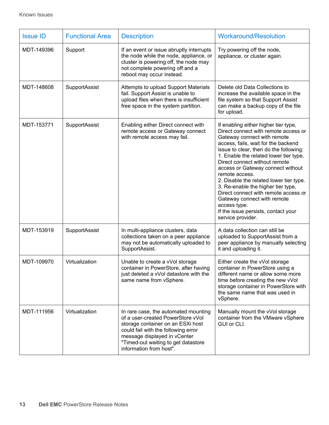| <b>Issue ID</b> | <b>Functional Area</b> | <b>Description</b>                                                                                                                                                                                                                                      | <b>Workaround/Resolution</b>                                                                                                                                                                                                                                                                                                                                                                                                                                                                                                                                       |
|-----------------|------------------------|---------------------------------------------------------------------------------------------------------------------------------------------------------------------------------------------------------------------------------------------------------|--------------------------------------------------------------------------------------------------------------------------------------------------------------------------------------------------------------------------------------------------------------------------------------------------------------------------------------------------------------------------------------------------------------------------------------------------------------------------------------------------------------------------------------------------------------------|
| MDT-149396      | Support                | If an event or issue abruptly interrupts<br>the node while the node, appliance, or<br>cluster is powering off, the node may<br>not complete powering off and a<br>reboot may occur instead.                                                             | Try powering off the node,<br>appliance, or cluster again.                                                                                                                                                                                                                                                                                                                                                                                                                                                                                                         |
| MDT-148608      | SupportAssist          | Attempts to upload Support Materials<br>fail. Support Assist is unable to<br>upload files when there is insufficient<br>free space in the system partition.                                                                                             | Delete old Data Collections to<br>increase the available space in the<br>file system so that Support Assist<br>can make a backup copy of the file<br>for upload.                                                                                                                                                                                                                                                                                                                                                                                                   |
| MDT-153771      | SupportAssist          | Enabling either Direct connect with<br>remote access or Gateway connect<br>with remote access may fail.                                                                                                                                                 | If enabling either higher tier type,<br>Direct connect with remote access or<br>Gateway connect with remote<br>access, fails, wait for the backend<br>issue to clear, then do the following:<br>1. Enable the related lower tier type,<br>Direct connect without remote<br>access or Gateway connect without<br>remote access.<br>2. Disable the related lower tier type.<br>3. Re-enable the higher tier type,<br>Direct connect with remote access or<br>Gateway connect with remote<br>access type.<br>If the issue persists, contact your<br>service provider. |
| MDT-153919      | SupportAssist          | In multi-appliance clusters, data<br>collections taken on a peer appliance<br>may not be automatically uploaded to<br>SupportAssist.                                                                                                                    | A data collection can still be<br>uploaded to SupportAssist from a<br>peer appliance by manually selecting<br>it and uploading it.                                                                                                                                                                                                                                                                                                                                                                                                                                 |
| MDT-109970      | Virtualization         | Unable to create a vVol storage<br>container in PowerStore, after having<br>just deleted a vVol datastore with the<br>same name from vSphere.                                                                                                           | Either create the vVol storage<br>container in PowerStore using a<br>different name or allow some more<br>time before creating the new vVol<br>storage container in PowerStore with<br>the same name that was used in<br>vSphere.                                                                                                                                                                                                                                                                                                                                  |
| MDT-111956      | Virtualization         | In rare case, the automated mounting<br>of a user-created PowerStore vVol<br>storage container on an ESXi host<br>could fail with the following error<br>message displayed in vCenter<br>"Timed-out waiting to get datastore<br>information from host". | Manually mount the vVol storage<br>container from the VMware vSphere<br>GUI or CLI.                                                                                                                                                                                                                                                                                                                                                                                                                                                                                |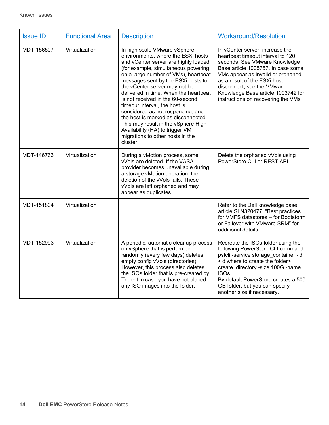| <b>Issue ID</b> | <b>Functional Area</b> | <b>Description</b>                                                                                                                                                                                                                                                                                                                                                                                                                                                                                                                                                                   | <b>Workaround/Resolution</b>                                                                                                                                                                                                                                                                                                          |
|-----------------|------------------------|--------------------------------------------------------------------------------------------------------------------------------------------------------------------------------------------------------------------------------------------------------------------------------------------------------------------------------------------------------------------------------------------------------------------------------------------------------------------------------------------------------------------------------------------------------------------------------------|---------------------------------------------------------------------------------------------------------------------------------------------------------------------------------------------------------------------------------------------------------------------------------------------------------------------------------------|
| MDT-156507      | Virtualization         | In high scale VMware vSphere<br>environments, where the ESXi hosts<br>and vCenter server are highly loaded<br>(for example, simultaneous powering<br>on a large number of VMs), heartbeat<br>messages sent by the ESXi hosts to<br>the vCenter server may not be<br>delivered in time. When the heartbeat<br>is not received in the 60-second<br>timeout interval, the host is<br>considered as not responding, and<br>the host is marked as disconnected.<br>This may result in the vSphere High<br>Availability (HA) to trigger VM<br>migrations to other hosts in the<br>cluster. | In vCenter server, increase the<br>heartbeat timeout interval to 120<br>seconds. See VMware Knowledge<br>Base article 1005757. In case some<br>VMs appear as invalid or orphaned<br>as a result of the ESXi host<br>disconnect, see the VMware<br>Knowledge Base article 1003742 for<br>instructions on recovering the VMs.           |
| MDT-146763      | Virtualization         | During a vMotion process, some<br>vVols are deleted. If the VASA<br>provider becomes unavailable during<br>a storage vMotion operation, the<br>deletion of the vVols fails. These<br>vVols are left orphaned and may<br>appear as duplicates.                                                                                                                                                                                                                                                                                                                                        | Delete the orphaned vVols using<br>PowerStore CLI or REST API.                                                                                                                                                                                                                                                                        |
| MDT-151804      | Virtualization         |                                                                                                                                                                                                                                                                                                                                                                                                                                                                                                                                                                                      | Refer to the Dell knowledge base<br>article SLN320477: "Best practices<br>for VMFS datastores - for Bootstorm<br>or Failover with VMware SRM" for<br>additional details.                                                                                                                                                              |
| MDT-152993      | Virtualization         | A periodic, automatic cleanup process<br>on vSphere that is performed<br>randomly (every few days) deletes<br>empty config vVols (directories).<br>However, this process also deletes<br>the ISOs folder that is pre-created by<br>Trident in case you have not placed<br>any ISO images into the folder.                                                                                                                                                                                                                                                                            | Recreate the ISOs folder using the<br>following PowerStore CLI command:<br>pstcli-service storage_container-id<br><id create="" folder="" the="" to="" where=""><br/>create_directory -size 100G -name<br/><b>ISOs</b><br/>By default PowerStore creates a 500<br/>GB folder, but you can specify<br/>another size if necessary.</id> |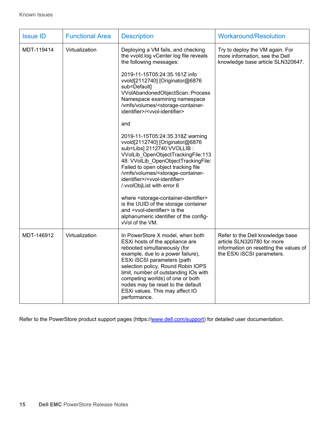| <b>Issue ID</b> | <b>Functional Area</b> | <b>Description</b>                                                                                                                                                                                                                                                                                                                                                                                                                                                                                                                                                                                                                                                                                                                                                                                                                                                                                                                                                                                                  | <b>Workaround/Resolution</b>                                                                                                           |
|-----------------|------------------------|---------------------------------------------------------------------------------------------------------------------------------------------------------------------------------------------------------------------------------------------------------------------------------------------------------------------------------------------------------------------------------------------------------------------------------------------------------------------------------------------------------------------------------------------------------------------------------------------------------------------------------------------------------------------------------------------------------------------------------------------------------------------------------------------------------------------------------------------------------------------------------------------------------------------------------------------------------------------------------------------------------------------|----------------------------------------------------------------------------------------------------------------------------------------|
| MDT-119414      | Virtualization         | Deploying a VM fails, and checking<br>the vvold.log vCenter log file reveals<br>the following messages:<br>2019-11-15T05:24:35.161Z info<br>vvold[2112740] [Originator@6876<br>sub=Default]<br>VVolAbandonedObjectScan::Process<br>Namespace examining namespace<br>/vmfs/volumes/ <storage-container-<br>identifier&gt;/<vvol-identifier><br/>and<br/>2019-11-15T05:24:35.318Z warning<br/>vvold[2112740] [Originator@6876<br/>sub=Libs] 2112740: VVOLLIB :<br/>VVolLib_OpenObjectTrackingFile:113<br/>48: VVolLib_OpenObjectTrackingFile:<br/>Failed to open object tracking file<br/>/vmfs/volumes/<storage-container-<br>identifier&gt;/<vvol-identifier><br/>/.vvolObjList with error 6<br/>where <storage-container-identifier><br/>is the UUID of the storage container<br/>and <vvol-identifier> is the<br/>alphanumeric identifier of the config-<br/>vVol of the VM.</vvol-identifier></storage-container-identifier></vvol-identifier></storage-container-<br></vvol-identifier></storage-container-<br> | Try to deploy the VM again. For<br>more information, see the Dell<br>knowledge base article SLN320647.                                 |
| MDT-146912      | Virtualization         | In PowerStore X model, when both<br>ESXi hosts of the appliance are<br>rebooted simultaneously (for<br>example, due to a power failure),<br>ESXi iSCSI parameters (path<br>selection policy, Round Robin IOPS<br>limit, number of outstanding IOs with<br>competing worlds) of one or both<br>nodes may be reset to the default<br>ESXi values. This may affect IO<br>performance.                                                                                                                                                                                                                                                                                                                                                                                                                                                                                                                                                                                                                                  | Refer to the Dell knowledge base<br>article SLN320780 for more<br>information on resetting the values of<br>the ESXi iSCSI parameters. |

Refer to the PowerStore product support pages (https:/[/www.dell.com/support\)](http://www.dell.com/support) for detailed user documentation.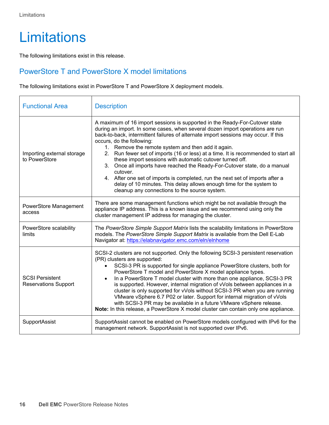### <span id="page-15-0"></span>**Limitations**

The following limitations exist in this release.

#### <span id="page-15-1"></span>PowerStore T and PowerStore X model limitations

The following limitations exist in PowerStore T and PowerStore X deployment models.

| <b>Functional Area</b>                                | <b>Description</b>                                                                                                                                                                                                                                                                                                                                                                                                                                                                                                                                                                                                                                                                                                                                                                          |
|-------------------------------------------------------|---------------------------------------------------------------------------------------------------------------------------------------------------------------------------------------------------------------------------------------------------------------------------------------------------------------------------------------------------------------------------------------------------------------------------------------------------------------------------------------------------------------------------------------------------------------------------------------------------------------------------------------------------------------------------------------------------------------------------------------------------------------------------------------------|
| Importing external storage<br>to PowerStore           | A maximum of 16 import sessions is supported in the Ready-For-Cutover state<br>during an import. In some cases, when several dozen import operations are run<br>back-to-back, intermittent failures of alternate import sessions may occur. If this<br>occurs, do the following:<br>1. Remove the remote system and then add it again.<br>2. Run fewer set of imports (16 or less) at a time. It is recommended to start all<br>these import sessions with automatic cutover turned off.<br>3. Once all imports have reached the Ready-For-Cutover state, do a manual<br>cutover.<br>4. After one set of imports is completed, run the next set of imports after a<br>delay of 10 minutes. This delay allows enough time for the system to<br>cleanup any connections to the source system. |
| PowerStore Management<br>access                       | There are some management functions which might be not available through the<br>appliance IP address. This is a known issue and we recommend using only the<br>cluster management IP address for managing the cluster.                                                                                                                                                                                                                                                                                                                                                                                                                                                                                                                                                                      |
| PowerStore scalability<br>limits                      | The PowerStore Simple Support Matrix lists the scalability limitations in PowerStore<br>models. The PowerStore Simple Support Matrix is available from the Dell E-Lab<br>Navigator at: https://elabnavigator.emc.com/eln/elnhome                                                                                                                                                                                                                                                                                                                                                                                                                                                                                                                                                            |
| <b>SCSI Persistent</b><br><b>Reservations Support</b> | SCSI-2 clusters are not supported. Only the following SCSI-3 persistent reservation<br>(PR) clusters are supported:<br>SCSI-3 PR is supported for single appliance PowerStore clusters, both for<br>PowerStore T model and PowerStore X model appliance types.<br>In a PowerStore T model cluster with more than one appliance, SCSI-3 PR<br>is supported. However, internal migration of vVols between appliances in a<br>cluster is only supported for vVols without SCSI-3 PR when you are running<br>VMware vSphere 6.7 P02 or later. Support for internal migration of vVols<br>with SCSI-3 PR may be available in a future VMware vSphere release.<br>Note: In this release, a PowerStore X model cluster can contain only one appliance.                                             |
| SupportAssist                                         | SupportAssist cannot be enabled on PowerStore models configured with IPv6 for the<br>management network. SupportAssist is not supported over IPv6.                                                                                                                                                                                                                                                                                                                                                                                                                                                                                                                                                                                                                                          |